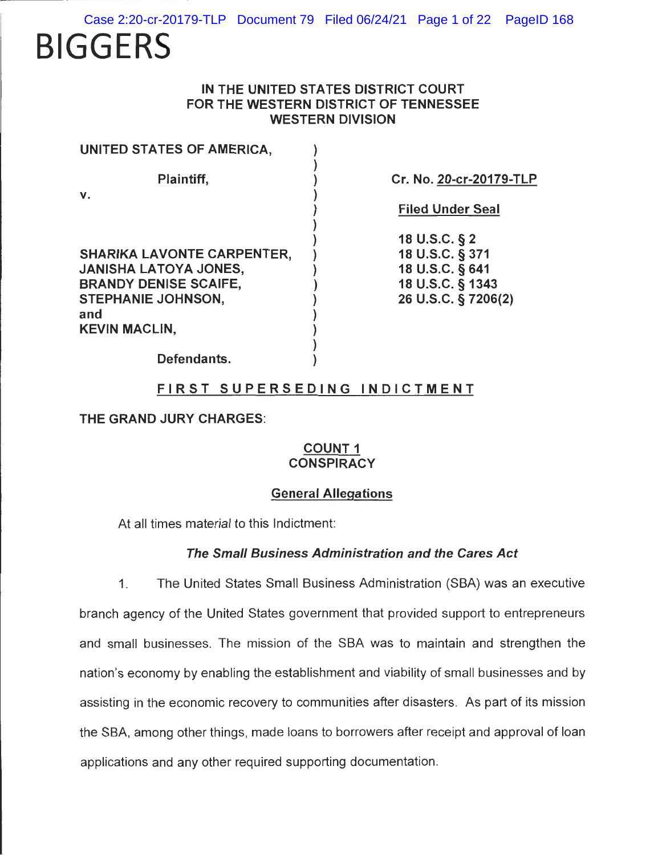**BIGGERS** 

# **IN THE UNITED STATES DISTRICT COURT FOR THE WESTERN DISTRICT OF TENNESSEE WESTERN DIVISION**

| Cr. No. 20-cr-20179-TLP |
|-------------------------|
| <b>Filed Under Seal</b> |
| 18 U.S.C. § 2           |
| 18 U.S.C. § 371         |
| 18 U.S.C. § 641         |
| 18 U.S.C. § 1343        |
| 26 U.S.C. § 7206(2)     |
|                         |
|                         |
|                         |
|                         |

**Defendants.** )

# **FIRST SUPERSEDING INDICTMENT**

#### **THE GRAND JURY CHARGES:**

# **COUNT 1 CONSPIRACY**

# **General Allegations**

At all times material to this Indictment:

## **The Small Business Administration and the Cares Act**

1. The United States Small Business Administration (SBA) was an executive branch agency of the United States government that provided support to entrepreneurs and small businesses. The mission of the SBA was to maintain and strengthen the nation's economy by enabling the establishment and viability of small businesses and by assisting in the economic recovery to communities after disasters. As part of its mission the SBA, among other things, made loans to borrowers after receipt and approval of loan applications and any other required supporting documentation.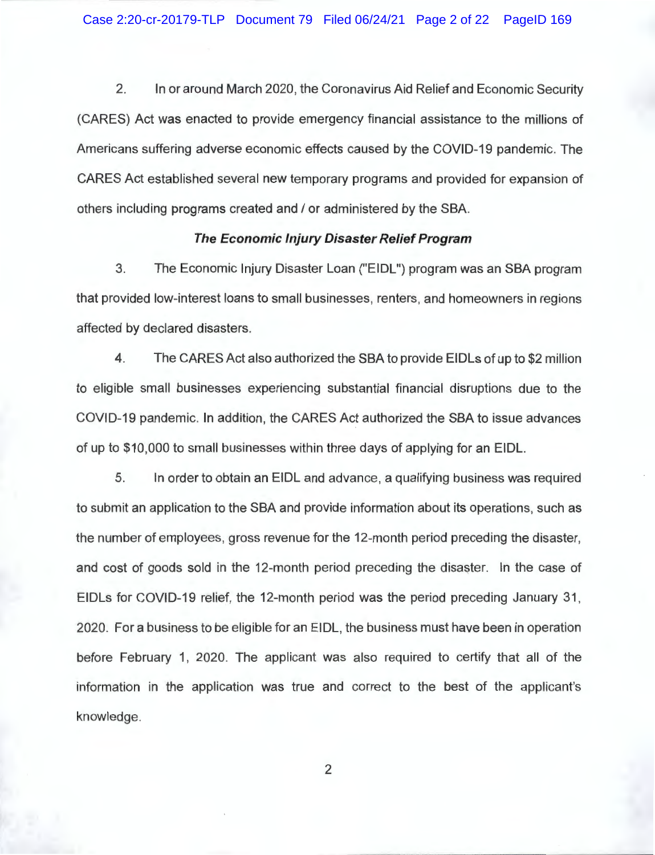2. In or around March 2020, the Coronavirus Aid Relief and Economic Security (CARES) Act was enacted to provide emergency financial assistance to the millions of Americans suffering adverse economic effects caused by the COVID-19 pandemic. The CARES Act established several new temporary programs and provided for expansion of others including programs created and/ or administered by the SBA.

#### **The Economic Injury Disaster Relief Program**

3. The Economic Injury Disaster Loan ("EIDL") program was an SBA program that provided low-interest loans to small businesses, renters, and homeowners in regions affected by declared disasters.

4. The CARES Act also authorized the SBA to provide EIDLs of up to \$2 million to eligible small businesses experiencing substantial financial disruptions due to the COVID-19 pandemic. In addition, the CARES Act authorized the SBA to issue advances of up to \$10,000 to small businesses within three days of applying for an EIDL.

5. In order to obtain an EIDL and advance, a qualifying business was required to submit an application to the SBA and provide information about its operations, such as the number of employees, gross revenue for the 12-month period preceding the disaster, and cost of goods sold in the 12-month period preceding the disaster. In the case of EIDLs for COVID-19 relief, the 12-month period was the period preceding January 31, 2020. For a business to be eligible for an EIDL, the business must have been in operation before February 1, 2020. The applicant was also required to certify that all of the information in the application was true and correct to the best of the applicant's knowledge.

2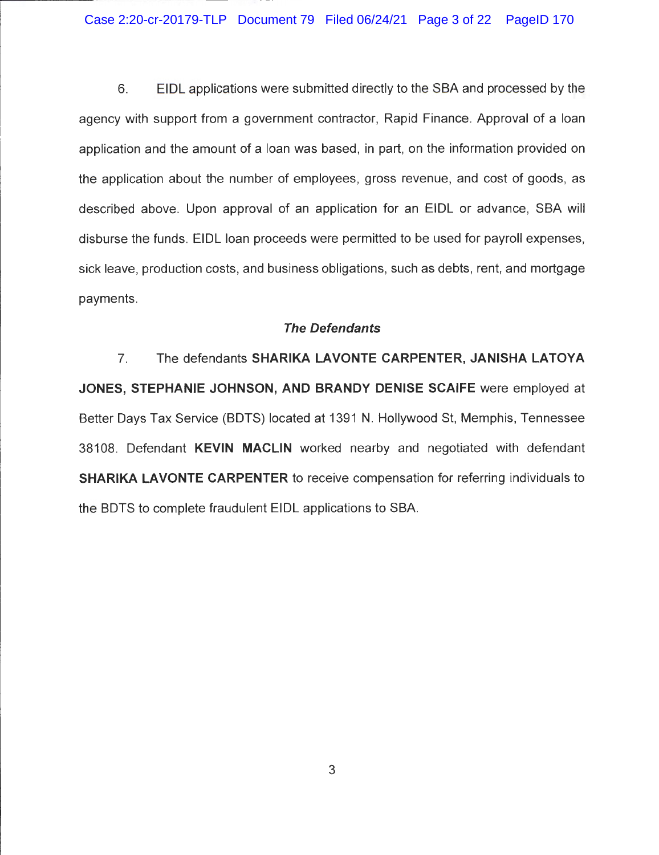Case 2:20-cr-20179-TLP Document 79 Filed 06/24/21 Page 3 of 22 PageID 170

6. EIDL applications were submitted directly to the SBA and processed by the agency with support from a government contractor, Rapid Finance. Approval of a loan application and the amount of a loan was based, in part, on the information provided on the application about the number of employees, gross revenue, and cost of goods, as described above. Upon approval of an application for an EIDL or advance, SBA will disburse the funds. EIDL loan proceeds were permitted to be used for payroll expenses, sick leave, production costs, and business obligations, such as debts, rent, and mortgage payments.

## **The Defendants**

7. The defendants **SHARIKA LAVONTE CARPENTER, JANISHA LATOYA JONES, STEPHANIE JOHNSON, AND BRANDY DENISE SCAIFE** were employed at Better Days Tax Service (BOTS) located at 1391 **N.** Hollywood St, Memphis, Tennessee 38108. Defendant **KEVIN MACLIN** worked nearby and negotiated with defendant **SHARIKA LAVONTE CARPENTER** to receive compensation for referring individuals to the BOTS to complete fraudulent EIDL applications to SBA.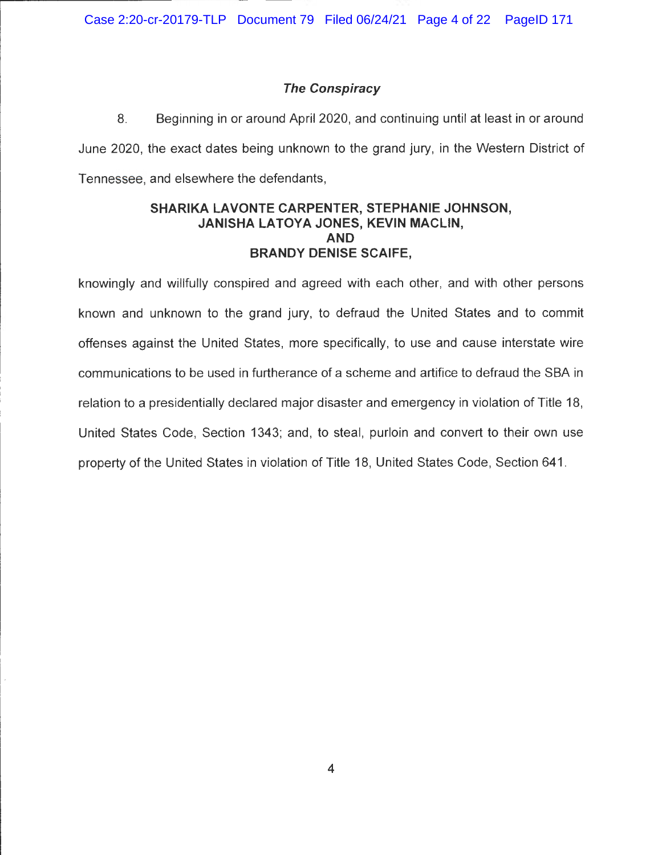# **The Conspiracy**

8. Beginning in or around April 2020, and continuing until at least in or around June 2020, the exact dates being unknown to the grand jury, in the Western District of Tennessee, and elsewhere the defendants,

## **SHARIKA LAVONTE CARPENTER, STEPHANIE JOHNSON, JANISHA LATOYA JONES, KEVIN MACLIN, AND BRANDY DENISE SCAIFE,**

knowingly and willfully conspired and agreed with each other, and with other persons known and unknown to the grand jury, to defraud the United States and to commit offenses against the United States, more specifically, to use and cause interstate wire communications to be used in furtherance of a scheme and artifice to defraud the SBA in relation to a presidentially declared major disaster and emergency in violation of Title 18, United States Code, Section 1343; and, to steal, purloin and convert to their own use property of the United States in violation of Title 18, United States Code, Section 641.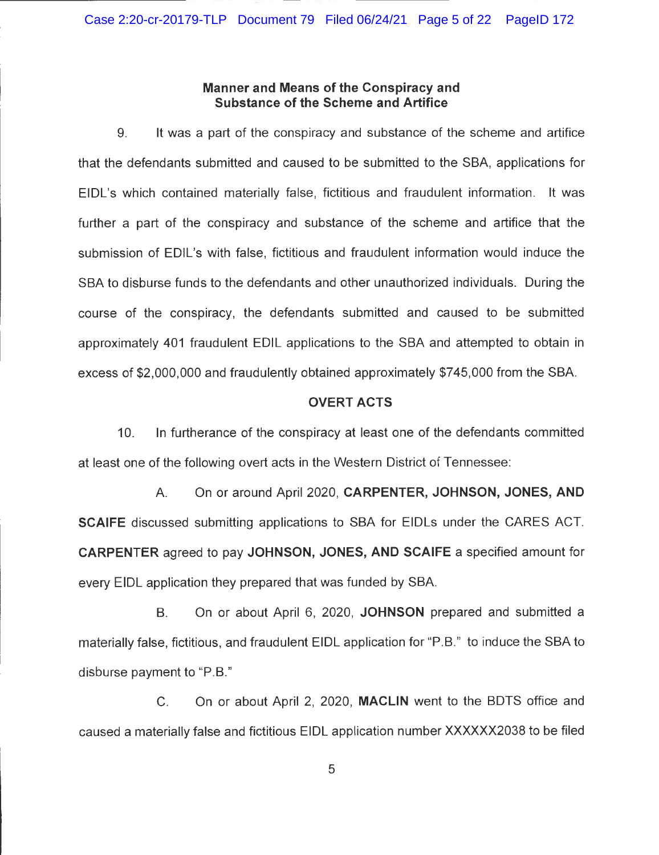## **Manner and Means of the Conspiracy and Substance of the Scheme and Artifice**

9. It was a part of the conspiracy and substance of the scheme and artifice that the defendants submitted and caused to be submitted to the SBA, applications for EIDL's which contained materially false, fictitious and fraudulent information. It was further a part of the conspiracy and substance of the scheme and artifice that the submission of EDIL's with false, fictitious and fraudulent information would induce the SBA to disburse funds to the defendants and other unauthorized individuals. During the course of the conspiracy, the defendants submitted and caused to be submitted approximately 401 fraudulent EDIL applications to the SBA and attempted to obtain in excess of \$2,000,000 and fraudulently obtained approximately \$745,000 from the SBA.

#### **OVERT ACTS**

10. In furtherance of the conspiracy at least one of the defendants committed at least one of the following overt acts in the Western District of Tennessee:

A. On or around April 2020, **CARPENTER, JOHNSON, JONES, AND SCAIFE** discussed submitting applications to SBA for EIDLs under the CARES ACT. **CARPENTER** agreed to pay **JOHNSON, JONES, AND SCAIFE** a specified amount for every EIDL application they prepared that was funded by SBA.

B. On or about April 6, 2020, **JOHNSON** prepared and submitted a materially false, fictitious, and fraudulent EIDL application for "P.B." to induce the SBA to disburse payment to "P.B."

C. On or about April 2, 2020, **MACLIN** went to the BOTS office and caused a materially false and fictitious EIDL application number XXXXXX2038 to be filed

5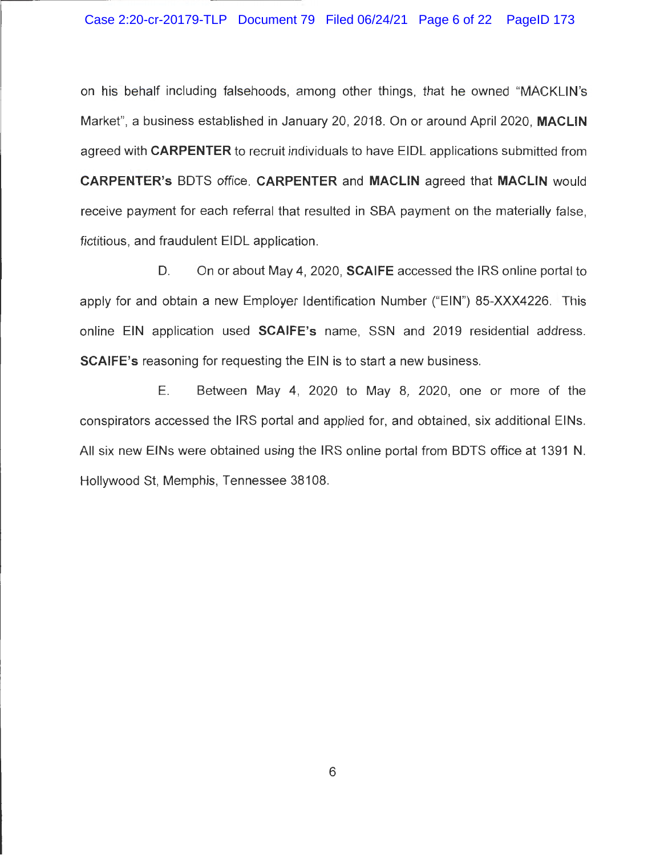on his behalf including falsehoods, among other things, that he owned "MACKLIN's Market", a business established in January 20, 2018. On or around April 2020, **MACLIN**  agreed with **CARPENTER** to recruit individuals to have EIOL applications submitted from **CARPENTER's** BOTS office. **CARPENTER** and **MACLIN** agreed that **MACLIN** would receive payment for each referral that resulted in SBA payment on the materially false, fictitious, and fraudulent EIOL application.

0 . On or about May 4, 2020, **SCAIFE** accessed the IRS online portal to apply for and obtain a new Employer Identification Number ("EIN") 85-XXX4226. This online EIN application used **SCAIFE's** name, SSN and 2019 residential address. **SCAIFE's** reasoning for requesting the EIN is to start a new business.

E. Between May 4, 2020 to May 8, 2020, one or more of the conspirators accessed the IRS portal and applied for, and obtained, six additional EINs. All six new EINs were obtained using the IRS online portal from BOTS office at 1391 N. Hollywood St, Memphis, Tennessee 38108.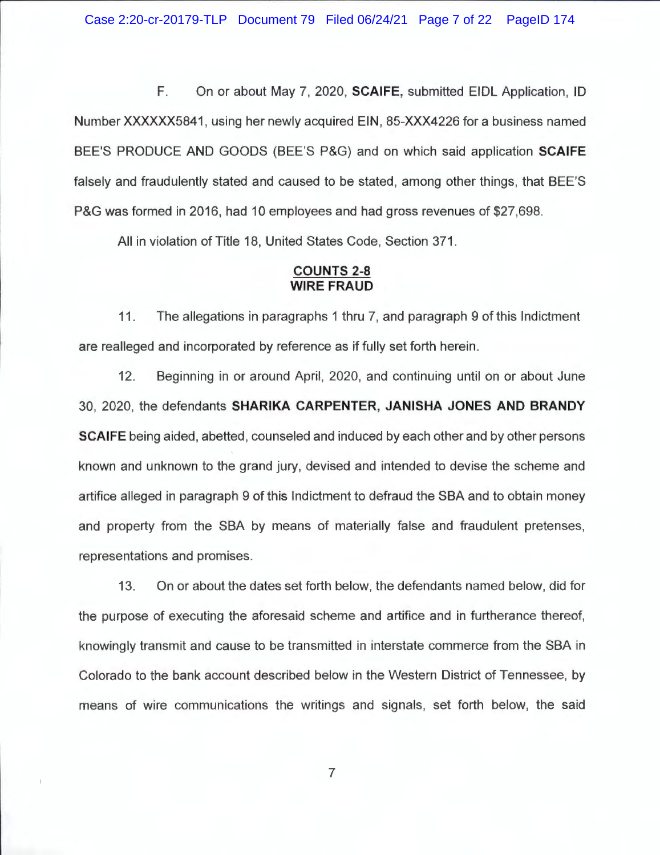F. On or about May 7, 2020, **SCAIFE,** submitted EIDL Application , ID Number XXXXXX5841 , using her newly acquired EIN, 85-XXX4226 for a business named BEE'S PRODUCE AND GOODS (BEE'S P&G) and on which said application **SCAIFE**  falsely and fraudulently stated and caused to be stated, among other things, that BEE'S P&G was formed in 2016, had 10 employees and had gross revenues of \$27,698.

All in violation of Title 18, United States Code, Section 371.

#### **COUNTS 2-8 WIRE FRAUD**

11. The allegations in paragraphs 1 thru 7, and paragraph 9 of this Indictment are realleged and incorporated by reference as if fully set forth herein.

12. Beginning in or around April, 2020, and continuing until on or about June 30, 2020, the defendants **SHARIKA CARPENTER, JANISHA JONES AND BRANDY SCAIFE** being aided, abetted, counseled and induced by each other and by other persons known and unknown to the grand jury, devised and intended to devise the scheme and artifice alleged in paragraph 9 of this Indictment to defraud the SBA and to obtain money and property from the SBA by means of materially false and fraudulent pretenses, representations and promises.

13. On or about the dates set forth below, the defendants named below, did for the purpose of executing the aforesaid scheme and artifice and in furtherance thereof, knowingly transmit and cause to be transmitted in interstate commerce from the SBA in Colorado to the bank account described below in the Western District of Tennessee, by means of wire communications the writings and signals, set forth below, the said

7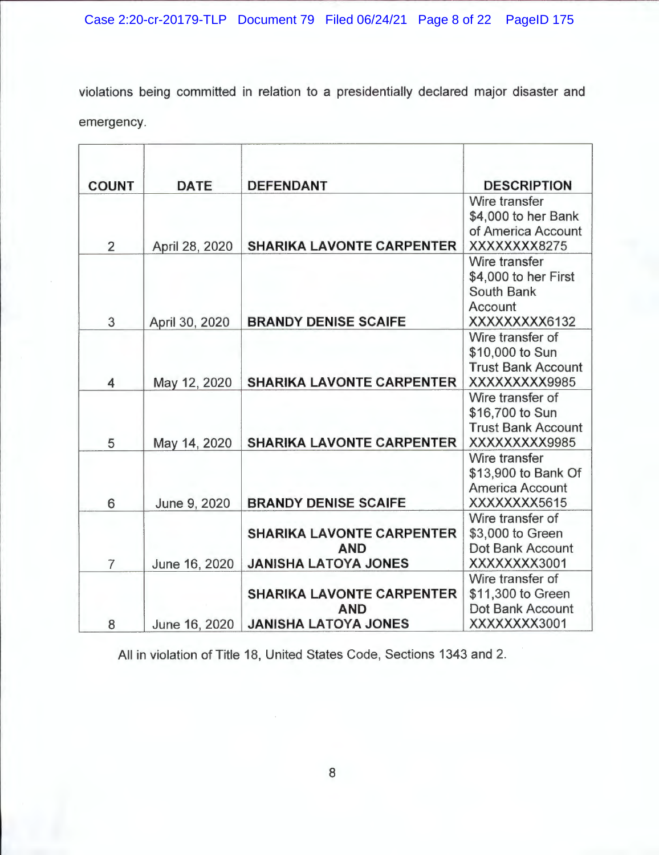violations being committed in relation to a presidentially declared major disaster and emergency.

| <b>COUNT</b>   | <b>DATE</b>    | <b>DEFENDANT</b>                 | <b>DESCRIPTION</b>                   |
|----------------|----------------|----------------------------------|--------------------------------------|
|                |                |                                  | Wire transfer                        |
|                |                |                                  | \$4,000 to her Bank                  |
|                |                |                                  | of America Account                   |
| $\overline{2}$ | April 28, 2020 | <b>SHARIKA LAVONTE CARPENTER</b> | XXXXXXXX8275<br>Wire transfer        |
|                |                |                                  | \$4,000 to her First                 |
|                |                |                                  | South Bank                           |
|                |                |                                  | Account                              |
| 3              | April 30, 2020 | <b>BRANDY DENISE SCAIFE</b>      | XXXXXXXX6132                         |
|                |                |                                  | Wire transfer of                     |
|                |                |                                  | \$10,000 to Sun                      |
|                |                |                                  | <b>Trust Bank Account</b>            |
| 4              | May 12, 2020   | <b>SHARIKA LAVONTE CARPENTER</b> | XXXXXXXX9985                         |
|                |                |                                  | Wire transfer of                     |
|                |                |                                  | \$16,700 to Sun                      |
|                |                |                                  | <b>Trust Bank Account</b>            |
| 5              | May 14, 2020   | <b>SHARIKA LAVONTE CARPENTER</b> | XXXXXXXX9985                         |
|                |                |                                  | Wire transfer                        |
|                |                |                                  | \$13,900 to Bank Of                  |
|                |                |                                  | America Account                      |
| 6              | June 9, 2020   | <b>BRANDY DENISE SCAIFE</b>      | XXXXXXXX5615                         |
|                |                | <b>SHARIKA LAVONTE CARPENTER</b> | Wire transfer of<br>\$3,000 to Green |
|                |                | <b>AND</b>                       | Dot Bank Account                     |
| $\overline{7}$ | June 16, 2020  | <b>JANISHA LATOYA JONES</b>      | XXXXXXXX3001                         |
|                |                |                                  | Wire transfer of                     |
|                |                | <b>SHARIKA LAVONTE CARPENTER</b> | \$11,300 to Green                    |
|                |                | <b>AND</b>                       | <b>Dot Bank Account</b>              |
| 8              | June 16, 2020  | <b>JANISHA LATOYA JONES</b>      | XXXXXXXX3001                         |

All in violation of Title 18, United States Code, Sections 1343 and 2.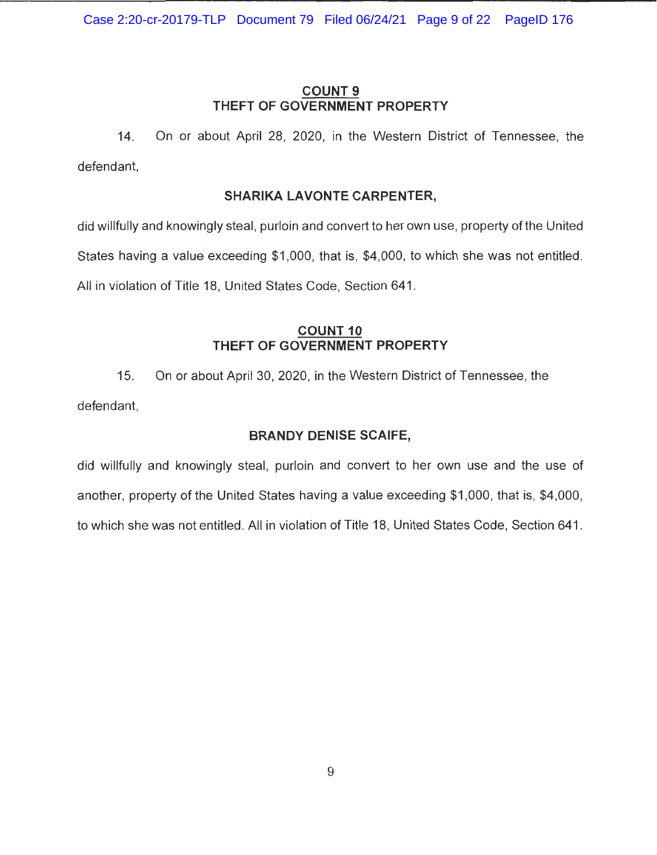# **COUNT 9 THEFT OF GOVERNMENT PROPERTY**

14. On or about April 28, 2020, in the Western District of Tennessee, the defendant,

# **SHARIKA LAVONTE CARPENTER,**

did willfully and knowingly steal, purloin and convert to her own use, property of the United States having a value exceeding \$1,000, that is, \$4,000, to which she was not entitled. All in violation of Title 18, United States Code, Section 641.

# **COUNT10 THEFT OF GOVERNMENT PROPERTY**

15. On or about April 30, 2020, in the Western District of Tennessee, the defendant,

# **BRANDY DENISE SCAIFE,**

did willfully and knowingly steal, purloin and convert to her own use and the use of another, property of the United States having a value exceeding \$1 ,000, that is, \$4,000, to which she was not entitled. All in violation of Title 18, United States Code, Section 641 .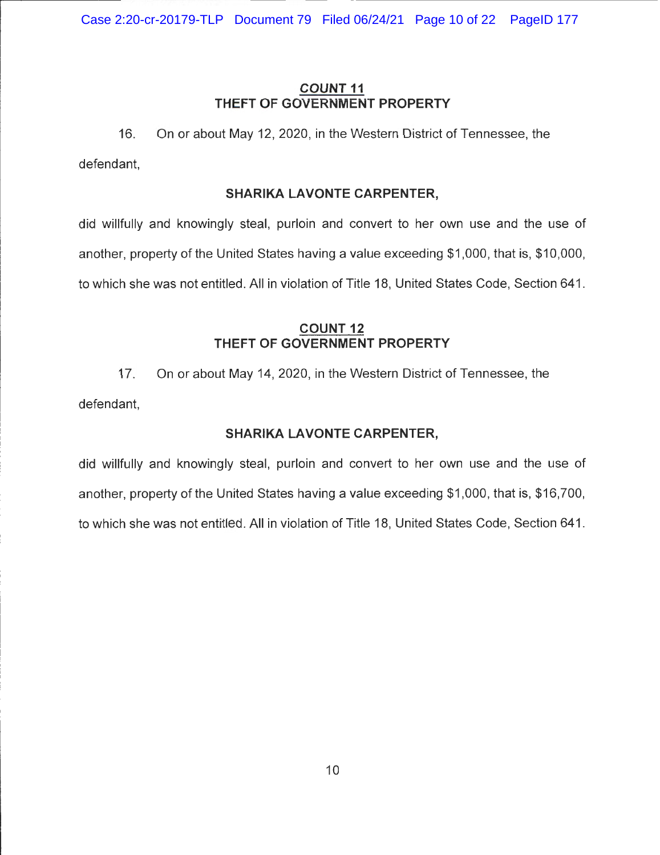Case 2:20-cr-20179-TLP Document 79 Filed 06/24/21 Page 10 of 22 PageID 177

# **COUNT 11 THEFT OF GOVERNMENT PROPERTY**

16. On or about May 12, 2020, in the Western District of Tennessee, the defendant,

#### **SHARIKA LAVONTE CARPENTER,**

did willfully and knowingly steal, purloin and convert to her own use and the use of another, property of the United States having a value exceeding \$1 ,000, that is, \$10,000, to which she was not entitled. All in violation of Title 18, United States Code, Section 641 .

# **COUNT12 THEFT OF GOVERNMENT PROPERTY**

17. On or about May 14, 2020, in the Western District of Tennessee, the defendant,

# **SHARIKA LAVONTE CARPENTER,**

did willfully and knowingly steal, purloin and convert to her own use and the use of another, property of the United States having a value exceeding \$1 ,000, that is, \$16,700, to which she was not entitled. All in violation of Title 18, United States Code, Section 641.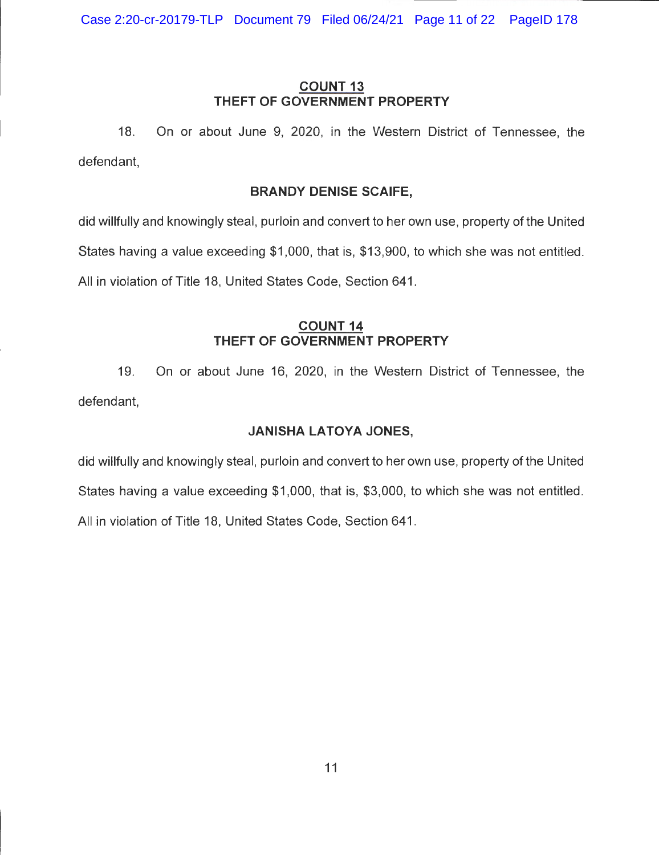Case 2:20-cr-20179-TLP Document 79 Filed 06/24/21 Page 11 of 22 PageID 178

# **COUNT13 THEFT OF GOVERNMENT PROPERTY**

18. On or about June 9, 2020, in the Western District of Tennessee, the defendant,

# **BRANDY DENISE SCAIFE,**

did willfully and knowingly steal, purloin and convert to her own use, property of the United States having a value exceeding \$1 ,000, that is, \$13,900, to which she was not entitled. All in violation of Title 18, United States Code, Section 641.

# **COUNT14 THEFT OF GOVERNMENT PROPERTY**

19. On or about June 16, 2020, in the Western District of Tennessee, the defendant,

# **JANISHA LATOYA JONES,**

did willfully and knowingly steal, purloin and convert to her own use, property of the United States having a value exceeding \$1,000, that is, \$3,000, to which she was not entitled. All in violation of Title 18, United States Code, Section 641 .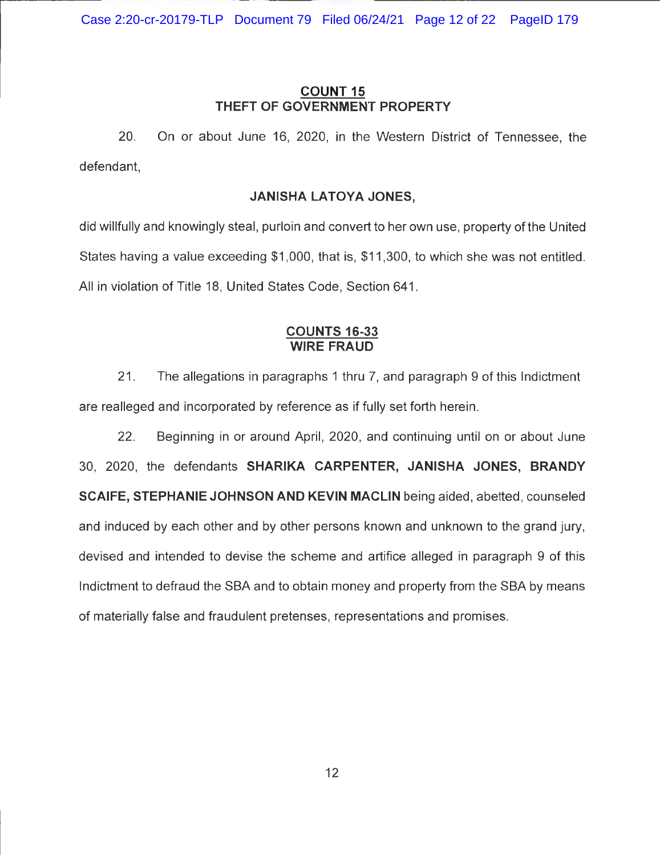# **COUNT15 THEFT OF GOVERNMENT PROPERTY**

20. On or about June 16, 2020, in the Western District of Tennessee, the defendant,

# **JANISHA LATOYA JONES,**

did willfully and knowingly steal, purloin and convert to her own use, property of the United States having a value exceeding \$1 ,000, that is, \$11 ,300, to which she was not entitled. All in violation of Title 18, United States Code, Section 641.

## **COUNTS 16-33 WIRE FRAUD**

21 . The allegations in paragraphs 1 thru 7, and paragraph 9 of this Indictment are realleged and incorporated by reference as if fully set forth herein.

22. Beginning in or around April, 2020, and continuing until on or about June 30, 2020, the defendants **SHARIKA CARPENTER, JANISHA JONES, BRANDY SCAIFE, STEPHANIE JOHNSON AND KEVIN MACLIN** being aided, abetted, counseled and induced by each other and by other persons known and unknown to the grand jury, devised and intended to devise the scheme and artifice alleged in paragraph 9 of this Indictment to defraud the SBA and to obtain money and property from the SBA by means of materially false and fraudulent pretenses, representations and promises.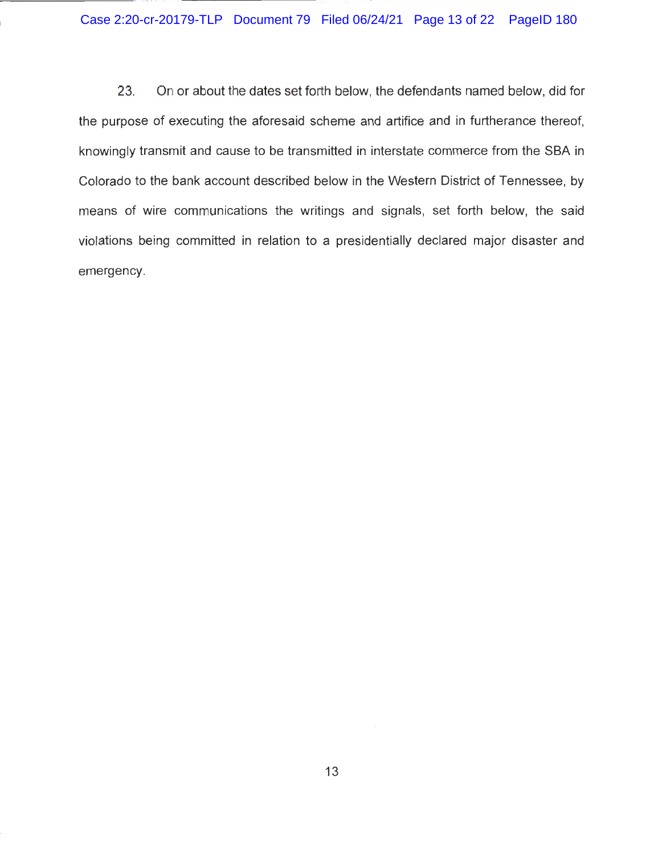23. On or about the dates set forth below, the defendants named below, did for the purpose of executing the aforesaid scheme and artifice and in furtherance thereof, knowingly transmit and cause to be transmitted in interstate commerce from the SBA in Colorado to the bank account described below in the Western District of Tennessee, by means of wire communications the writings and signals, set forth below, the said violations being committed in relation to a presidentially declared major disaster and emergency.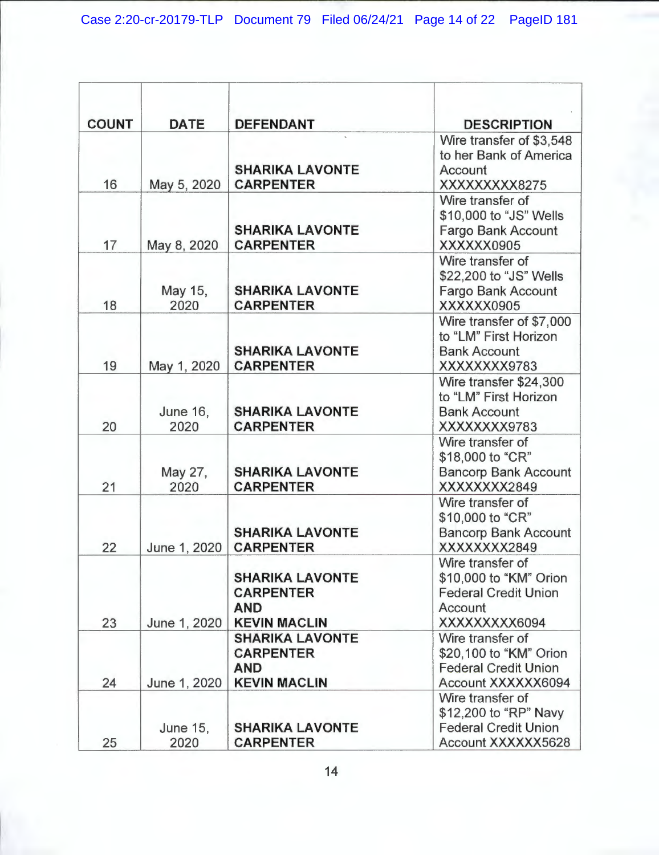| <b>COUNT</b> | <b>DATE</b>             | <b>DEFENDANT</b>                                                                | <b>DESCRIPTION</b>                                                                                    |
|--------------|-------------------------|---------------------------------------------------------------------------------|-------------------------------------------------------------------------------------------------------|
| 16           | May 5, 2020             | <b>SHARIKA LAVONTE</b><br><b>CARPENTER</b>                                      | Wire transfer of \$3,548<br>to her Bank of America<br>Account<br>XXXXXXXXX8275                        |
| 17           | May 8, 2020             | <b>SHARIKA LAVONTE</b><br><b>CARPENTER</b>                                      | Wire transfer of<br>\$10,000 to "JS" Wells<br>Fargo Bank Account<br>XXXXXX0905                        |
| 18           | May 15,<br>2020         | <b>SHARIKA LAVONTE</b><br><b>CARPENTER</b>                                      | Wire transfer of<br>\$22,200 to "JS" Wells<br><b>Fargo Bank Account</b><br>XXXXXX0905                 |
| 19           | May 1, 2020             | <b>SHARIKA LAVONTE</b><br><b>CARPENTER</b>                                      | Wire transfer of \$7,000<br>to "LM" First Horizon<br><b>Bank Account</b><br>XXXXXXX9783               |
| 20           | <b>June 16,</b><br>2020 | <b>SHARIKA LAVONTE</b><br><b>CARPENTER</b>                                      | Wire transfer \$24,300<br>to "LM" First Horizon<br><b>Bank Account</b><br>XXXXXXX9783                 |
| 21           | May 27,<br>2020         | <b>SHARIKA LAVONTE</b><br><b>CARPENTER</b>                                      | Wire transfer of<br>\$18,000 to "CR"<br><b>Bancorp Bank Account</b><br>XXXXXXXX2849                   |
| 22           | June 1, 2020            | <b>SHARIKA LAVONTE</b><br><b>CARPENTER</b>                                      | Wire transfer of<br>\$10,000 to "CR"<br><b>Bancorp Bank Account</b><br>XXXXXXXX2849                   |
| 23           | June 1, 2020            | <b>SHARIKA LAVONTE</b><br><b>CARPENTER</b><br><b>AND</b><br><b>KEVIN MACLIN</b> | Wire transfer of<br>\$10,000 to "KM" Orion<br><b>Federal Credit Union</b><br>Account<br>XXXXXXXXX6094 |
| 24           | June 1, 2020            | <b>SHARIKA LAVONTE</b><br><b>CARPENTER</b><br><b>AND</b><br><b>KEVIN MACLIN</b> | Wire transfer of<br>\$20,100 to "KM" Orion<br><b>Federal Credit Union</b><br>Account XXXXXX6094       |
| 25           | <b>June 15,</b><br>2020 | <b>SHARIKA LAVONTE</b><br><b>CARPENTER</b>                                      | Wire transfer of<br>\$12,200 to "RP" Navy<br><b>Federal Credit Union</b><br>Account XXXXXX5628        |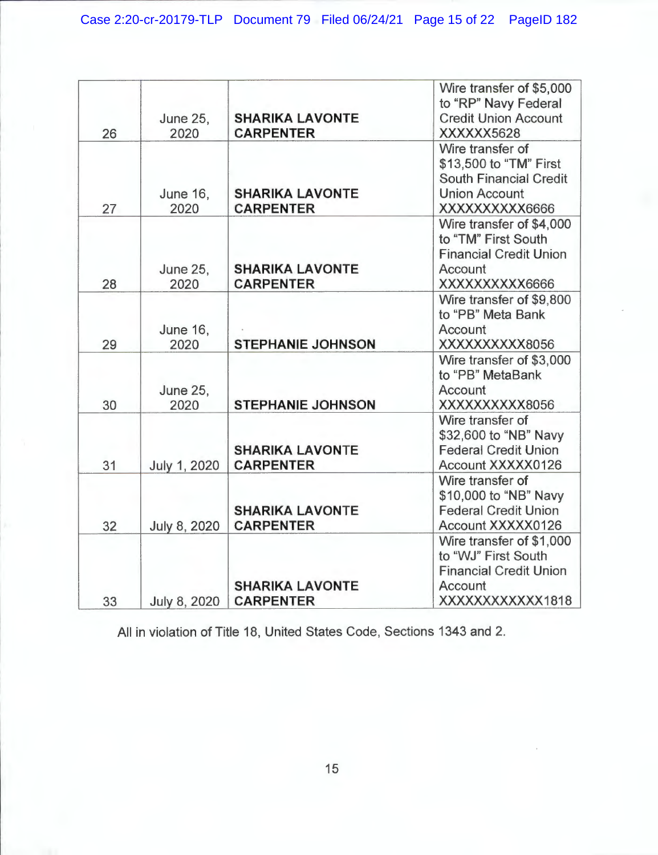| 26 | <b>June 25,</b><br>2020 | <b>SHARIKA LAVONTE</b><br><b>CARPENTER</b> | Wire transfer of \$5,000<br>to "RP" Navy Federal<br><b>Credit Union Account</b><br>XXXXXX5628                   |
|----|-------------------------|--------------------------------------------|-----------------------------------------------------------------------------------------------------------------|
| 27 | <b>June 16.</b><br>2020 | <b>SHARIKA LAVONTE</b><br><b>CARPENTER</b> | Wire transfer of<br>\$13,500 to "TM" First<br>South Financial Credit<br><b>Union Account</b><br>XXXXXXXXXX6666  |
| 28 | <b>June 25,</b><br>2020 | <b>SHARIKA LAVONTE</b><br><b>CARPENTER</b> | Wire transfer of \$4,000<br>to "TM" First South<br><b>Financial Credit Union</b><br>Account<br>XXXXXXXXXX6666   |
| 29 | <b>June 16,</b><br>2020 | <b>STEPHANIE JOHNSON</b>                   | Wire transfer of \$9,800<br>to "PB" Meta Bank<br>Account<br>XXXXXXXXXX8056                                      |
| 30 | <b>June 25,</b><br>2020 | <b>STEPHANIE JOHNSON</b>                   | Wire transfer of \$3,000<br>to "PB" MetaBank<br>Account<br>XXXXXXXXXX8056                                       |
| 31 | July 1, 2020            | <b>SHARIKA LAVONTE</b><br><b>CARPENTER</b> | Wire transfer of<br>\$32,600 to "NB" Navy<br><b>Federal Credit Union</b><br>Account XXXXX0126                   |
| 32 | July 8, 2020            | <b>SHARIKA LAVONTE</b><br><b>CARPENTER</b> | Wire transfer of<br>\$10,000 to "NB" Navy<br><b>Federal Credit Union</b><br>Account XXXXX0126                   |
| 33 | July 8, 2020            | <b>SHARIKA LAVONTE</b><br><b>CARPENTER</b> | Wire transfer of \$1,000<br>to "WJ" First South<br><b>Financial Credit Union</b><br>Account<br>XXXXXXXXXXXX1818 |

All in violation of Title 18, United States Code, Sections 1343 and 2.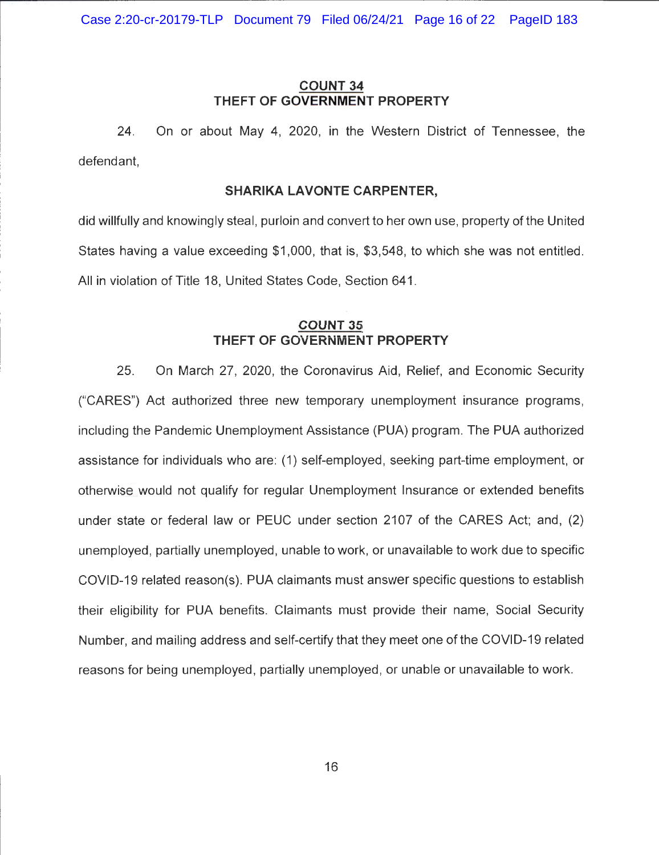# **COUNT 34 THEFT OF GOVERNMENT PROPERTY**

24. On or about May 4, 2020, in the Western District of Tennessee, the defendant,

#### **SHARIKA LAVONTE CARPENTER,**

did willfully and knowingly steal, purloin and convert to her own use, property of the United States having a value exceeding \$1 ,000, that is, \$3,548, to which she was not entitled. All in violation of Title 18, United States Code, Section 641.

## **COUNT 35 THEFT OF GOVERNMENT PROPERTY**

25. On March 27, 2020, the Coronavirus Aid, Relief, and Economic Security ("CARES") Act authorized three new temporary unemployment insurance programs, including the Pandemic Unemployment Assistance (PUA) program. The PUA authorized assistance for individuals who are: (1) self-employed, seeking part-time employment, or otherwise would not qualify for regular Unemployment Insurance or extended benefits under state or federal law or PEUC under section 2107 of the CARES Act; and, (2) unemployed , partially unemployed, unable to work, or unavailable to work due to specific COVID-19 related reason(s). PUA claimants must answer specific questions to establish their eligibility for PUA benefits. Claimants must provide their name, Social Security Number, and mailing address and self-certify that they meet one of the COVID-19 related reasons for being unemployed, partially unemployed, or unable or unavailable to work.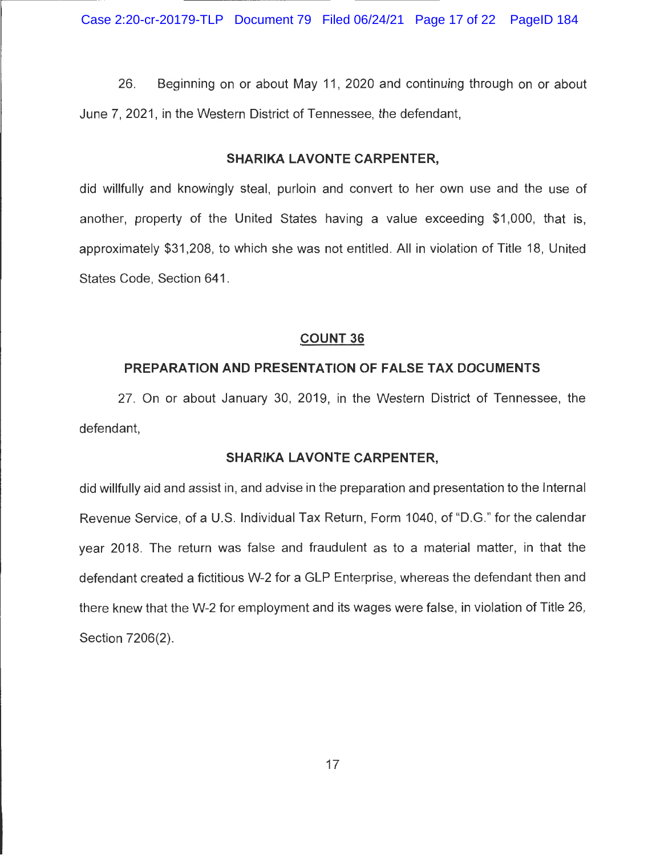26. Beginning on or about May 11, 2020 and continuing through on or about June 7, 2021 , in the Western District of Tennessee, the defendant,

#### **SHARIKA LAVONTE CARPENTER,**

did willfully and knowingly steal, purloin and convert to her own use and the use of another, property of the United States having a value exceeding \$1 ,000, that is, approximately \$31 ,208, to which she was not entitled. All in violation of Title 18, United States Code, Section 641 .

#### **COUNT 36**

#### **PREPARATION AND PRESENTATION OF FALSE TAX DOCUMENTS**

27. On or about January 30, 2019, in the Western District of Tennessee, the defendant,

#### **SHARIKA LAVONTE CARPENTER,**

did willfully aid and assist in, and advise in the preparation and presentation to the Internal Revenue Service, of a U.S. Individual Tax Return, Form 1040, of "D.G." for the calendar year 2018. The return was false and fraudulent as to a material matter, in that the defendant created a fictitious W-2 for a GLP Enterprise, whereas the defendant then and there knew that the W-2 for employment and its wages were false, in violation of Title 26, Section 7206(2).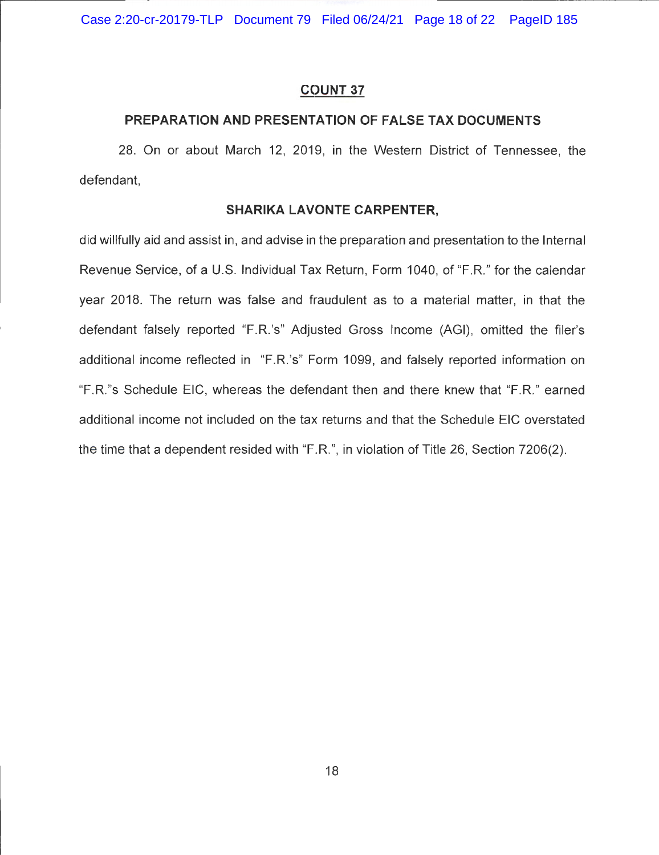Case 2:20-cr-20179-TLP Document 79 Filed 06/24/21 Page 18 of 22 PageID 185

#### **COUNT 37**

#### **PREPARATION AND PRESENTATION OF FALSE TAX DOCUMENTS**

28. On or about March 12, 2019, in the Western District of Tennessee, the defendant,

#### **SHARIKA LAVONTE CARPENTER,**

did willfully aid and assist in, and advise in the preparation and presentation to the Internal Revenue Service, of a U.S. Individual Tax Return, Form 1040, of "F.R." for the calendar year 2018. The return was false and fraudulent as to a material matter, in that the defendant falsely reported "F.R.'s" Adjusted Gross Income (AGI), omitted the filer's additional income reflected in "F.R. 's" Form 1099, and falsely reported information on "F.R."s Schedule EiC, whereas the defendant then and there knew that "F.R." earned additional income not included on the tax returns and that the Schedule EiC overstated the time that a dependent resided with "F.R.", in violation of Title 26, Section 7206(2).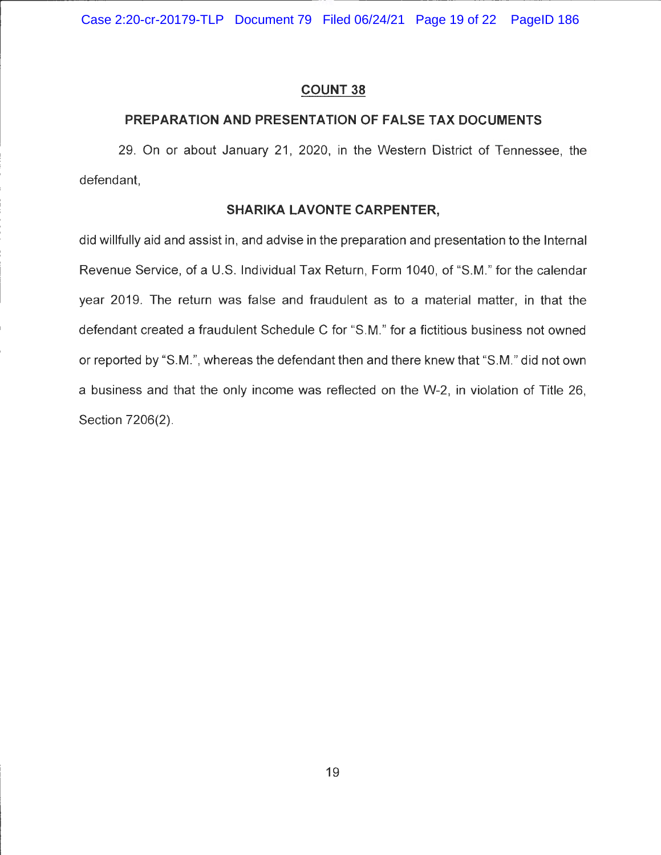Case 2:20-cr-20179-TLP Document 79 Filed 06/24/21 Page 19 of 22 PageID 186

#### **COUNT 38**

# **PREPARATION AND PRESENTATION OF FALSE TAX DOCUMENTS**

29. On or about January 21, 2020, in the Western District of Tennessee, the defendant,

## **SHARIKA LAVONTE CARPENTER,**

did willfully aid and assist in, and advise in the preparation and presentation to the Internal Revenue Service, of a U.S. Individual Tax Return, Form 1040, of "S.M." for the calendar year 2019. The return was false and fraudulent as to a material matter, in that the defendant created a fraudulent Schedule C for "S.M." for a fictitious business not owned or reported by "S.M.", whereas the defendant then and there knew that "S.M." did not own a business and that the only income was reflected on the W-2, in violation of Title 26, Section 7206(2).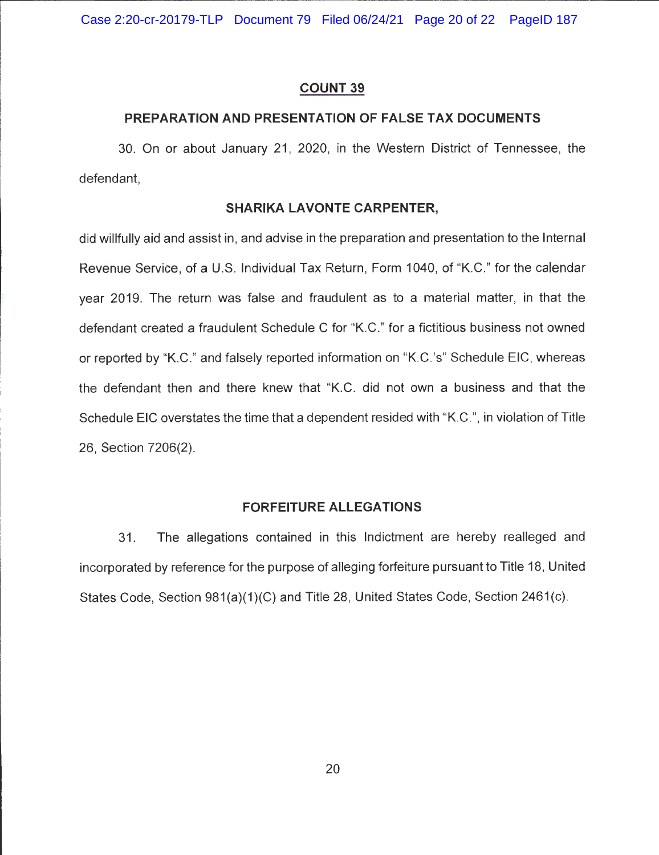#### **COUNT 39**

#### **PREPARATION AND PRESENTATION OF FALSE TAX DOCUMENTS**

30. On or about January 21, 2020, in the Western District of Tennessee, the defendant,

#### **SHARIKA LAVONTE CARPENTER,**

did willfully aid and assist in, and advise in the preparation and presentation to the Internal Revenue Service, of a U.S. Individual Tax Return, Form 1040, of "K.C." for the calendar year 2019. The return was false and fraudulent as to a material matter, in that the defendant created a fraudulent Schedule C for "K.C." for a fictitious business not owned or reported by "K.C." and falsely reported information on "K.C.'s" Schedule EiC, whereas the defendant then and there knew that "K.C. did not own a business and that the Schedule EiC overstates the time that a dependent resided with "K.C.", in violation of Title 26, Section 7206(2).

#### **FORFEITURE ALLEGATIONS**

31. The allegations contained in this Indictment are hereby realleged and incorporated by reference for the purpose of alleging forfeiture pursuant to Title 18, United States Code, Section 981(a)(1)(C) and Title 28, United States Code, Section 2461(c).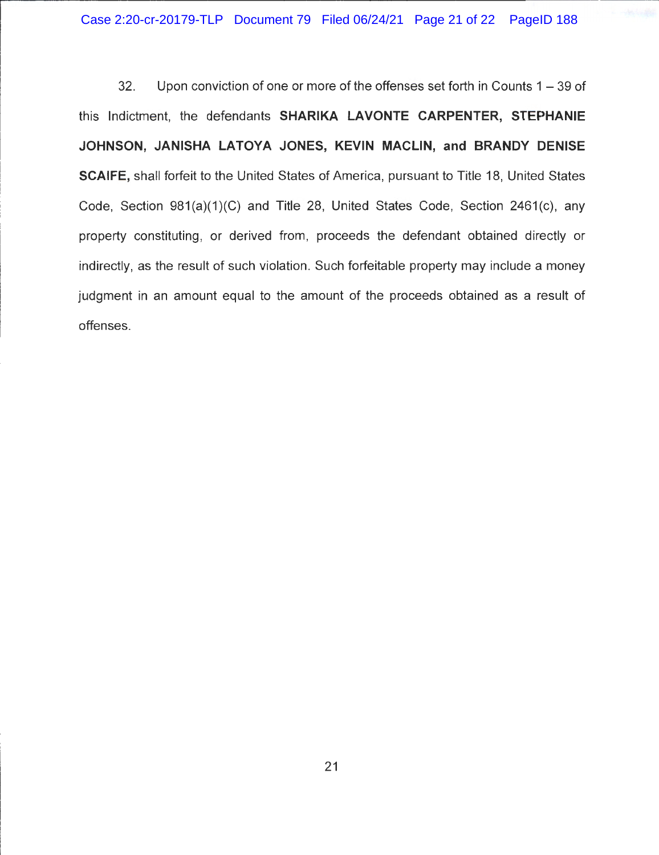32. Upon conviction of one or more of the offenses set forth in Counts 1 - 39 of this Indictment, the defendants **SHARIKA LAVONTE CARPENTER, STEPHANIE JOHNSON, JANISHA LATOYA JONES, KEVIN MACLIN, and BRANDY DENISE SCAIFE,** shall forfeit to the United States of America, pursuant to Title 18, United States Code, Section 981(a)(1)(C) and Title 28, United States Code, Section 2461(c), any property constituting, or derived from, proceeds the defendant obtained directly or indirectly, as the result of such violation. Such forfeitable property may include a money judgment in an amount equal to the amount of the proceeds obtained as a result of offenses.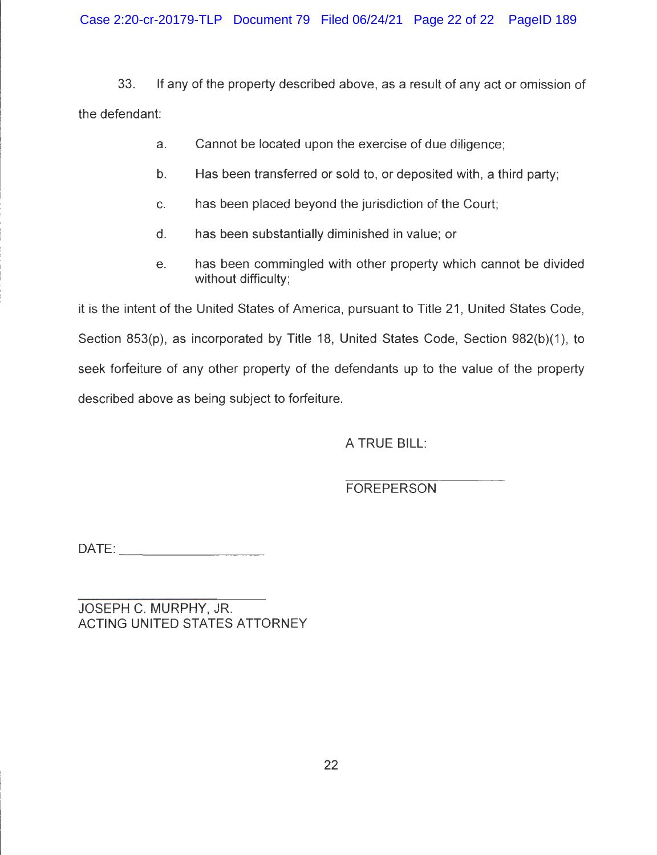Case 2:20-cr-20179-TLP Document 79 Filed 06/24/21 Page 22 of 22 PageID 189

33. If any of the property described above, as a result of any act or omission of the defendant:

- a. Cannot be located upon the exercise of due diligence;
- b. Has been transferred or sold to, or deposited with, a third party;
- c. has been placed beyond the jurisdiction of the Court;
- d. has been substantially diminished in value; or
- e. has been commingled with other property which cannot be divided without difficulty;

it is the intent of the United States of America, pursuant to Title 21, United States Code, Section 853(p), as incorporated by Title 18, United States Code, Section 982(b)(1), to seek forfeiture of any other property of the defendants up to the value of the property described above as being subject to forfeiture.

A TRUE BILL:

FOREPERSON

 $DATE:$ 

JOSEPH C. MURPHY, JR. ACTING UNITED STATES ATTORNEY